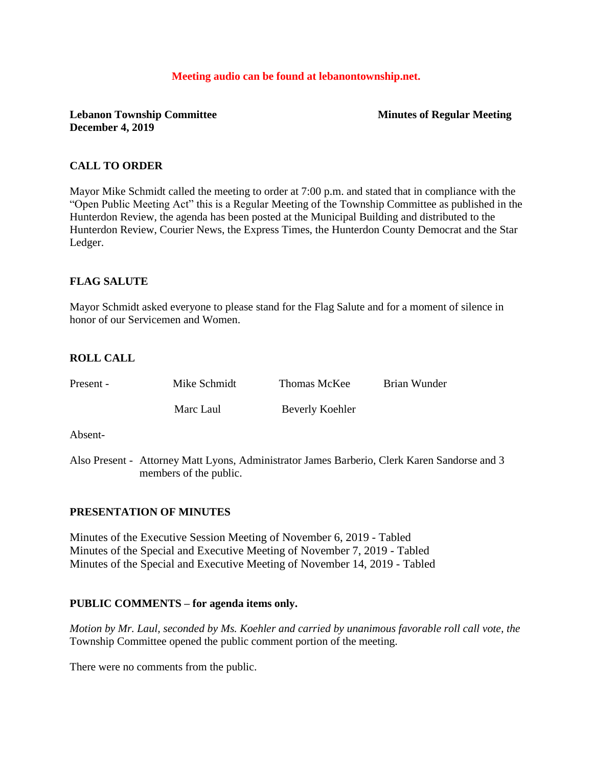#### **Meeting audio can be found at lebanontownship.net.**

## **Lebanon Township Committee Minutes of Regular Meeting December 4, 2019**

## **CALL TO ORDER**

Mayor Mike Schmidt called the meeting to order at 7:00 p.m. and stated that in compliance with the "Open Public Meeting Act" this is a Regular Meeting of the Township Committee as published in the Hunterdon Review, the agenda has been posted at the Municipal Building and distributed to the Hunterdon Review, Courier News, the Express Times, the Hunterdon County Democrat and the Star Ledger.

## **FLAG SALUTE**

Mayor Schmidt asked everyone to please stand for the Flag Salute and for a moment of silence in honor of our Servicemen and Women.

## **ROLL CALL**

| Present - | Mike Schmidt | Thomas McKee    | Brian Wunder |
|-----------|--------------|-----------------|--------------|
|           | Marc Laul    | Beverly Koehler |              |

Absent-

Also Present - Attorney Matt Lyons, Administrator James Barberio, Clerk Karen Sandorse and 3 members of the public.

## **PRESENTATION OF MINUTES**

Minutes of the Executive Session Meeting of November 6, 2019 - Tabled Minutes of the Special and Executive Meeting of November 7, 2019 - Tabled Minutes of the Special and Executive Meeting of November 14, 2019 - Tabled

## **PUBLIC COMMENTS – for agenda items only.**

*Motion by Mr. Laul, seconded by Ms. Koehler and carried by unanimous favorable roll call vote, the* Township Committee opened the public comment portion of the meeting.

There were no comments from the public.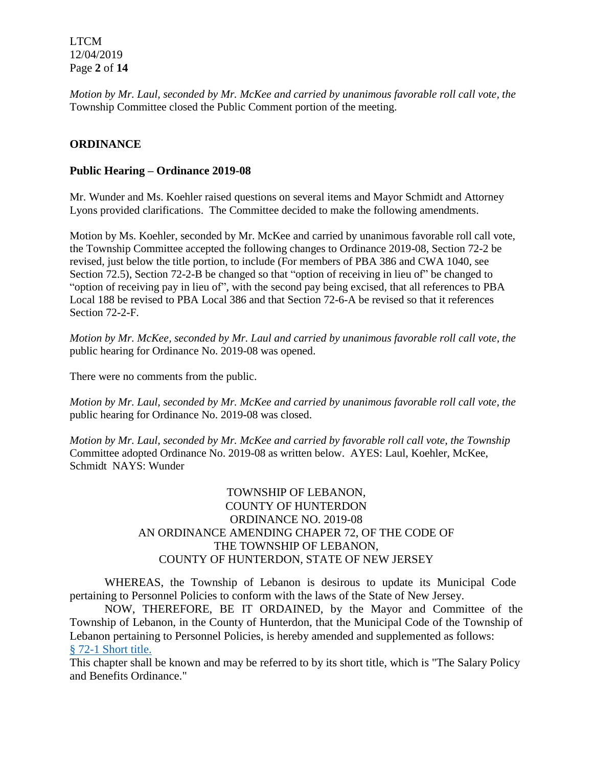LTCM 12/04/2019 Page **2** of **14**

*Motion by Mr. Laul, seconded by Mr. McKee and carried by unanimous favorable roll call vote, the* Township Committee closed the Public Comment portion of the meeting.

## **ORDINANCE**

### **Public Hearing – Ordinance 2019-08**

Mr. Wunder and Ms. Koehler raised questions on several items and Mayor Schmidt and Attorney Lyons provided clarifications. The Committee decided to make the following amendments.

Motion by Ms. Koehler, seconded by Mr. McKee and carried by unanimous favorable roll call vote, the Township Committee accepted the following changes to Ordinance 2019-08, Section 72-2 be revised, just below the title portion, to include (For members of PBA 386 and CWA 1040, see Section 72.5), Section 72-2-B be changed so that "option of receiving in lieu of" be changed to "option of receiving pay in lieu of", with the second pay being excised, that all references to PBA Local 188 be revised to PBA Local 386 and that Section 72-6-A be revised so that it references Section 72-2-F.

*Motion by Mr. McKee, seconded by Mr. Laul and carried by unanimous favorable roll call vote, the* public hearing for Ordinance No. 2019-08 was opened.

There were no comments from the public.

*Motion by Mr. Laul, seconded by Mr. McKee and carried by unanimous favorable roll call vote, the* public hearing for Ordinance No. 2019-08 was closed.

*Motion by Mr. Laul, seconded by Mr. McKee and carried by favorable roll call vote, the Township* Committee adopted Ordinance No. 2019-08 as written below. AYES: Laul, Koehler, McKee, Schmidt NAYS: Wunder

## TOWNSHIP OF LEBANON, COUNTY OF HUNTERDON ORDINANCE NO. 2019-08 AN ORDINANCE AMENDING CHAPER 72, OF THE CODE OF THE TOWNSHIP OF LEBANON, COUNTY OF HUNTERDON, STATE OF NEW JERSEY

WHEREAS, the Township of Lebanon is desirous to update its Municipal Code pertaining to Personnel Policies to conform with the laws of the State of New Jersey.

NOW, THEREFORE, BE IT ORDAINED, by the Mayor and Committee of the Township of Lebanon, in the County of Hunterdon, that the Municipal Code of the Township of Lebanon pertaining to Personnel Policies, is hereby amended and supplemented as follows: § [72-1 Short title.](https://ecode360.com/6916482#6916483) 

This chapter shall be known and may be referred to by its short title, which is "The Salary Policy and Benefits Ordinance."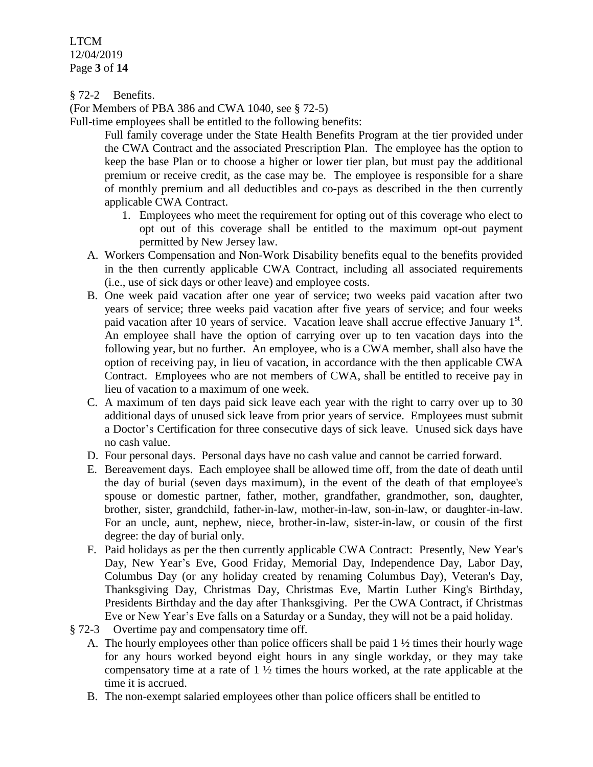LTCM 12/04/2019 Page **3** of **14**

§ 72-2 Benefits.

(For Members of PBA 386 and CWA 1040, see § 72-5)

Full-time employees shall be entitled to the following benefits:

Full family coverage under the State Health Benefits Program at the tier provided under the CWA Contract and the associated Prescription Plan. The employee has the option to keep the base Plan or to choose a higher or lower tier plan, but must pay the additional premium or receive credit, as the case may be. The employee is responsible for a share of monthly premium and all deductibles and co-pays as described in the then currently applicable CWA Contract.

- 1. Employees who meet the requirement for opting out of this coverage who elect to opt out of this coverage shall be entitled to the maximum opt-out payment permitted by New Jersey law.
- A. Workers Compensation and Non-Work Disability benefits equal to the benefits provided in the then currently applicable CWA Contract, including all associated requirements (i.e., use of sick days or other leave) and employee costs.
- B. One week paid vacation after one year of service; two weeks paid vacation after two years of service; three weeks paid vacation after five years of service; and four weeks paid vacation after 10 years of service. Vacation leave shall accrue effective January  $1<sup>st</sup>$ . An employee shall have the option of carrying over up to ten vacation days into the following year, but no further. An employee, who is a CWA member, shall also have the option of receiving pay, in lieu of vacation, in accordance with the then applicable CWA Contract. Employees who are not members of CWA, shall be entitled to receive pay in lieu of vacation to a maximum of one week.
- C. A maximum of ten days paid sick leave each year with the right to carry over up to 30 additional days of unused sick leave from prior years of service. Employees must submit a Doctor's Certification for three consecutive days of sick leave. Unused sick days have no cash value.
- D. Four personal days. Personal days have no cash value and cannot be carried forward.
- E. Bereavement days. Each employee shall be allowed time off, from the date of death until the day of burial (seven days maximum), in the event of the death of that employee's spouse or domestic partner, father, mother, grandfather, grandmother, son, daughter, brother, sister, grandchild, father-in-law, mother-in-law, son-in-law, or daughter-in-law. For an uncle, aunt, nephew, niece, brother-in-law, sister-in-law, or cousin of the first degree: the day of burial only.
- F. Paid holidays as per the then currently applicable CWA Contract: Presently, New Year's Day, New Year's Eve, Good Friday, Memorial Day, Independence Day, Labor Day, Columbus Day (or any holiday created by renaming Columbus Day), Veteran's Day, Thanksgiving Day, Christmas Day, Christmas Eve, Martin Luther King's Birthday, Presidents Birthday and the day after Thanksgiving. Per the CWA Contract, if Christmas Eve or New Year's Eve falls on a Saturday or a Sunday, they will not be a paid holiday.
- § 72-3 Overtime pay and compensatory time off.
	- A. The hourly employees other than police officers shall be paid  $1\frac{1}{2}$  times their hourly wage for any hours worked beyond eight hours in any single workday, or they may take compensatory time at a rate of  $1 \frac{1}{2}$  times the hours worked, at the rate applicable at the time it is accrued.
	- B. The non-exempt salaried employees other than police officers shall be entitled to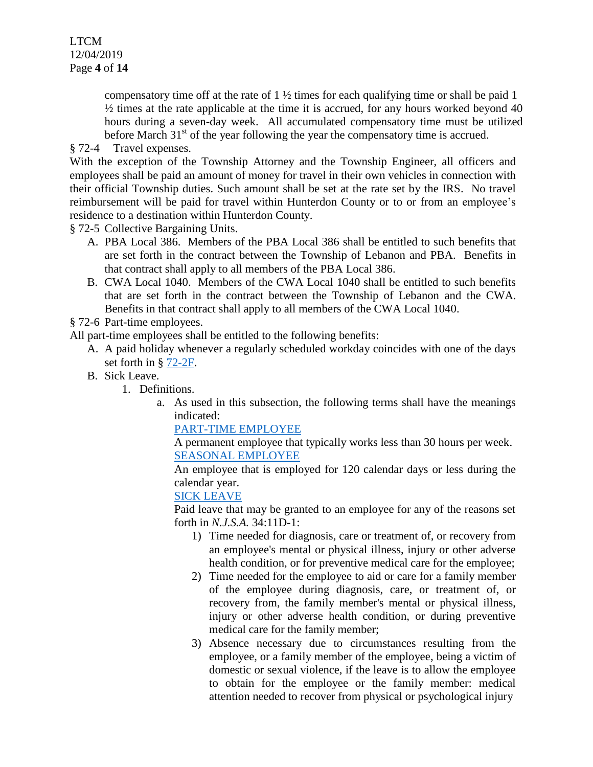LTCM 12/04/2019 Page **4** of **14**

> compensatory time off at the rate of  $1\frac{1}{2}$  times for each qualifying time or shall be paid 1  $\frac{1}{2}$  times at the rate applicable at the time it is accrued, for any hours worked beyond 40 hours during a seven-day week. All accumulated compensatory time must be utilized before March  $31<sup>st</sup>$  of the year following the year the compensatory time is accrued.

§ 72-4 Travel expenses.

With the exception of the Township Attorney and the Township Engineer, all officers and employees shall be paid an amount of money for travel in their own vehicles in connection with their official Township duties. Such amount shall be set at the rate set by the IRS. No travel reimbursement will be paid for travel within Hunterdon County or to or from an employee's residence to a destination within Hunterdon County.

§ 72-5 Collective Bargaining Units.

- A. PBA Local 386. Members of the PBA Local 386 shall be entitled to such benefits that are set forth in the contract between the Township of Lebanon and PBA. Benefits in that contract shall apply to all members of the PBA Local 386.
- B. CWA Local 1040. Members of the CWA Local 1040 shall be entitled to such benefits that are set forth in the contract between the Township of Lebanon and the CWA. Benefits in that contract shall apply to all members of the CWA Local 1040.

§ 72-6 Part-time employees.

All part-time employees shall be entitled to the following benefits:

- A. A paid holiday whenever a regularly scheduled workday coincides with one of the days set forth in § [72-2F.](https://ecode360.com/6916494#6916494)
- B. Sick Leave.
	- 1. Definitions.
		- a. As used in this subsection, the following terms shall have the meanings indicated:

# [PART-TIME EMPLOYEE](https://ecode360.com/34002072#34002072)

A permanent employee that typically works less than 30 hours per week. [SEASONAL EMPLOYEE](https://ecode360.com/34002073#34002073)

An employee that is employed for 120 calendar days or less during the calendar year.

# [SICK LEAVE](https://ecode360.com/34002074#34002074)

Paid leave that may be granted to an employee for any of the reasons set forth in *N.J.S.A.* 34:11D-1:

- 1) Time needed for diagnosis, care or treatment of, or recovery from an employee's mental or physical illness, injury or other adverse health condition, or for preventive medical care for the employee;
- 2) Time needed for the employee to aid or care for a family member of the employee during diagnosis, care, or treatment of, or recovery from, the family member's mental or physical illness, injury or other adverse health condition, or during preventive medical care for the family member;
- 3) Absence necessary due to circumstances resulting from the employee, or a family member of the employee, being a victim of domestic or sexual violence, if the leave is to allow the employee to obtain for the employee or the family member: medical attention needed to recover from physical or psychological injury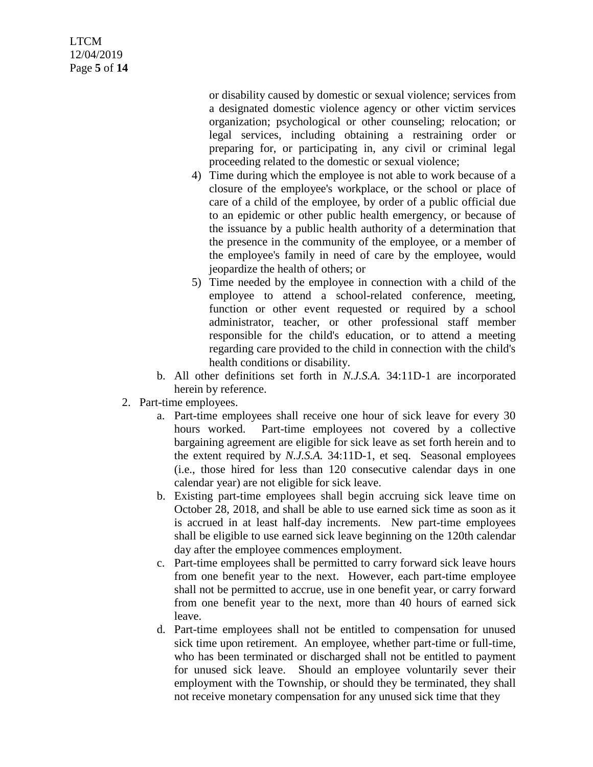# LTCM 12/04/2019 Page **5** of **14**

or disability caused by domestic or sexual violence; services from a designated domestic violence agency or other victim services organization; psychological or other counseling; relocation; or legal services, including obtaining a restraining order or preparing for, or participating in, any civil or criminal legal proceeding related to the domestic or sexual violence;

- 4) Time during which the employee is not able to work because of a closure of the employee's workplace, or the school or place of care of a child of the employee, by order of a public official due to an epidemic or other public health emergency, or because of the issuance by a public health authority of a determination that the presence in the community of the employee, or a member of the employee's family in need of care by the employee, would jeopardize the health of others; or
- 5) Time needed by the employee in connection with a child of the employee to attend a school-related conference, meeting, function or other event requested or required by a school administrator, teacher, or other professional staff member responsible for the child's education, or to attend a meeting regarding care provided to the child in connection with the child's health conditions or disability.
- b. All other definitions set forth in *N.J.S.A.* 34:11D-1 are incorporated herein by reference.
- 2. Part-time employees.
	- a. Part-time employees shall receive one hour of sick leave for every 30 hours worked. Part-time employees not covered by a collective bargaining agreement are eligible for sick leave as set forth herein and to the extent required by *N.J.S.A.* 34:11D-1, et seq. Seasonal employees (i.e., those hired for less than 120 consecutive calendar days in one calendar year) are not eligible for sick leave.
	- b. Existing part-time employees shall begin accruing sick leave time on October 28, 2018, and shall be able to use earned sick time as soon as it is accrued in at least half-day increments. New part-time employees shall be eligible to use earned sick leave beginning on the 120th calendar day after the employee commences employment.
	- c. Part-time employees shall be permitted to carry forward sick leave hours from one benefit year to the next. However, each part-time employee shall not be permitted to accrue, use in one benefit year, or carry forward from one benefit year to the next, more than 40 hours of earned sick leave.
	- d. Part-time employees shall not be entitled to compensation for unused sick time upon retirement. An employee, whether part-time or full-time, who has been terminated or discharged shall not be entitled to payment for unused sick leave. Should an employee voluntarily sever their employment with the Township, or should they be terminated, they shall not receive monetary compensation for any unused sick time that they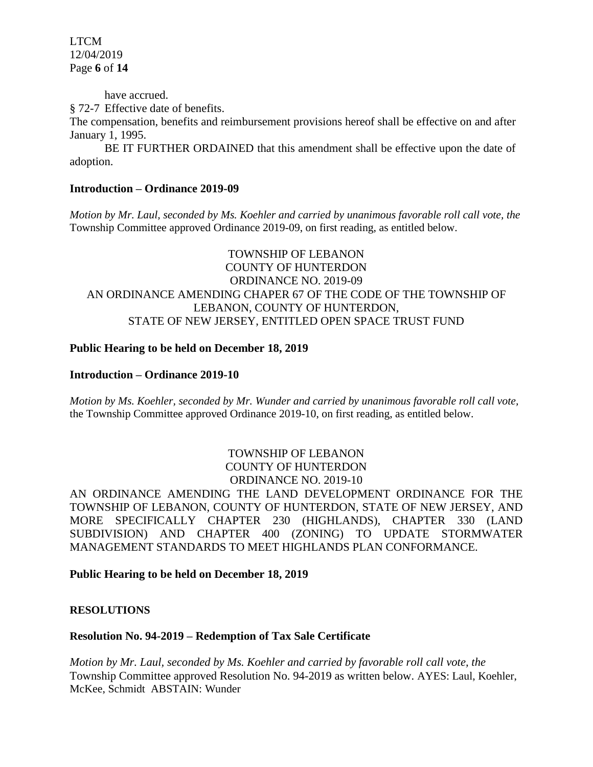LTCM 12/04/2019 Page **6** of **14**

have accrued.

§ 72-7 Effective date of benefits.

The compensation, benefits and reimbursement provisions hereof shall be effective on and after January 1, 1995.

BE IT FURTHER ORDAINED that this amendment shall be effective upon the date of adoption.

## **Introduction – Ordinance 2019-09**

*Motion by Mr. Laul, seconded by Ms. Koehler and carried by unanimous favorable roll call vote, the*  Township Committee approved Ordinance 2019-09, on first reading, as entitled below.

# TOWNSHIP OF LEBANON COUNTY OF HUNTERDON ORDINANCE NO. 2019-09 AN ORDINANCE AMENDING CHAPER 67 OF THE CODE OF THE TOWNSHIP OF LEBANON, COUNTY OF HUNTERDON, STATE OF NEW JERSEY, ENTITLED OPEN SPACE TRUST FUND

#### **Public Hearing to be held on December 18, 2019**

#### **Introduction – Ordinance 2019-10**

*Motion by Ms. Koehler, seconded by Mr. Wunder and carried by unanimous favorable roll call vote,* the Township Committee approved Ordinance 2019-10, on first reading, as entitled below.

## TOWNSHIP OF LEBANON COUNTY OF HUNTERDON ORDINANCE NO. 2019-10

AN ORDINANCE AMENDING THE LAND DEVELOPMENT ORDINANCE FOR THE TOWNSHIP OF LEBANON, COUNTY OF HUNTERDON, STATE OF NEW JERSEY, AND MORE SPECIFICALLY CHAPTER 230 (HIGHLANDS), CHAPTER 330 (LAND SUBDIVISION) AND CHAPTER 400 (ZONING) TO UPDATE STORMWATER MANAGEMENT STANDARDS TO MEET HIGHLANDS PLAN CONFORMANCE.

**Public Hearing to be held on December 18, 2019**

#### **RESOLUTIONS**

## **Resolution No. 94-2019 – Redemption of Tax Sale Certificate**

*Motion by Mr. Laul, seconded by Ms. Koehler and carried by favorable roll call vote, the* Township Committee approved Resolution No. 94-2019 as written below. AYES: Laul, Koehler, McKee, Schmidt ABSTAIN: Wunder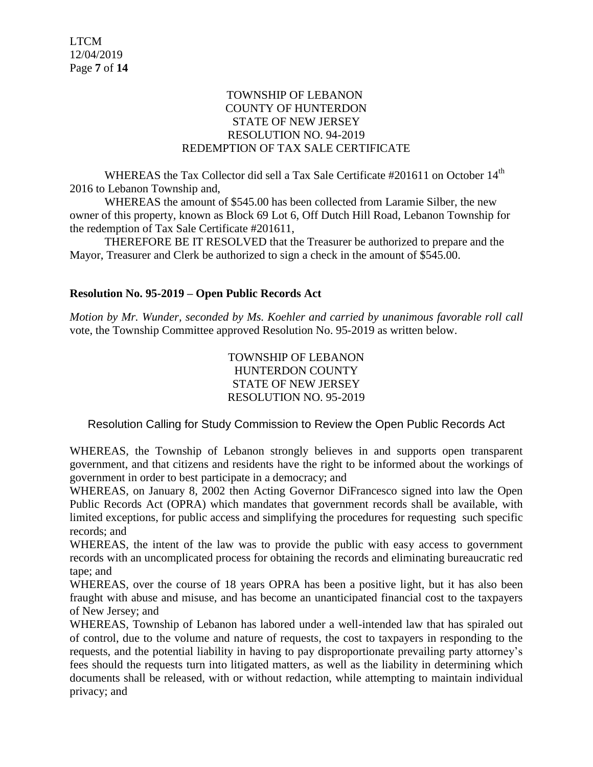## TOWNSHIP OF LEBANON COUNTY OF HUNTERDON STATE OF NEW JERSEY RESOLUTION NO. 94-2019 REDEMPTION OF TAX SALE CERTIFICATE

WHEREAS the Tax Collector did sell a Tax Sale Certificate  $\#201611$  on October  $14<sup>th</sup>$ 2016 to Lebanon Township and,

WHEREAS the amount of \$545.00 has been collected from Laramie Silber, the new owner of this property, known as Block 69 Lot 6, Off Dutch Hill Road, Lebanon Township for the redemption of Tax Sale Certificate #201611,

THEREFORE BE IT RESOLVED that the Treasurer be authorized to prepare and the Mayor, Treasurer and Clerk be authorized to sign a check in the amount of \$545.00.

# **Resolution No. 95-2019 – Open Public Records Act**

*Motion by Mr. Wunder, seconded by Ms. Koehler and carried by unanimous favorable roll call*  vote, the Township Committee approved Resolution No. 95-2019 as written below.

> TOWNSHIP OF LEBANON HUNTERDON COUNTY STATE OF NEW JERSEY RESOLUTION NO. 95-2019

## Resolution Calling for Study Commission to Review the Open Public Records Act

WHEREAS, the Township of Lebanon strongly believes in and supports open transparent government, and that citizens and residents have the right to be informed about the workings of government in order to best participate in a democracy; and

WHEREAS, on January 8, 2002 then Acting Governor DiFrancesco signed into law the Open Public Records Act (OPRA) which mandates that government records shall be available, with limited exceptions, for public access and simplifying the procedures for requesting such specific records; and

WHEREAS, the intent of the law was to provide the public with easy access to government records with an uncomplicated process for obtaining the records and eliminating bureaucratic red tape; and

WHEREAS, over the course of 18 years OPRA has been a positive light, but it has also been fraught with abuse and misuse, and has become an unanticipated financial cost to the taxpayers of New Jersey; and

WHEREAS, Township of Lebanon has labored under a well-intended law that has spiraled out of control, due to the volume and nature of requests, the cost to taxpayers in responding to the requests, and the potential liability in having to pay disproportionate prevailing party attorney's fees should the requests turn into litigated matters, as well as the liability in determining which documents shall be released, with or without redaction, while attempting to maintain individual privacy; and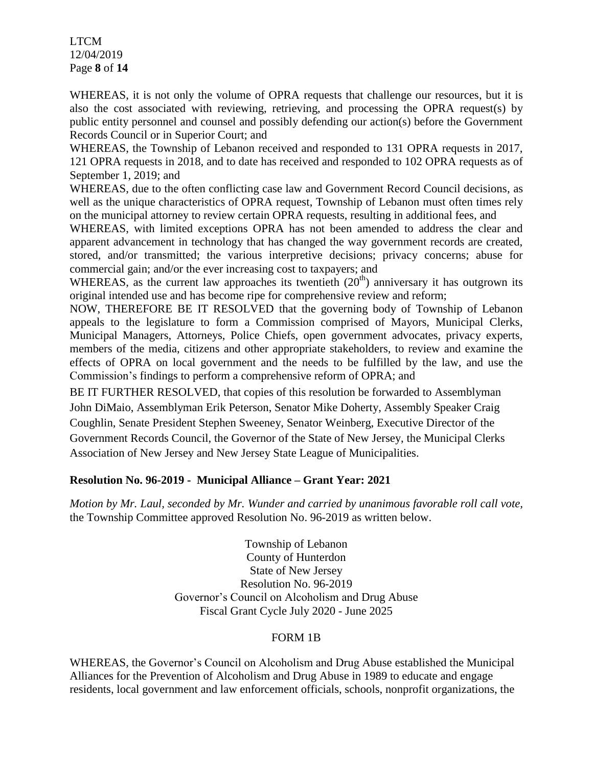LTCM 12/04/2019 Page **8** of **14**

WHEREAS, it is not only the volume of OPRA requests that challenge our resources, but it is also the cost associated with reviewing, retrieving, and processing the OPRA request(s) by public entity personnel and counsel and possibly defending our action(s) before the Government Records Council or in Superior Court; and

WHEREAS, the Township of Lebanon received and responded to 131 OPRA requests in 2017, 121 OPRA requests in 2018, and to date has received and responded to 102 OPRA requests as of September 1, 2019; and

WHEREAS, due to the often conflicting case law and Government Record Council decisions, as well as the unique characteristics of OPRA request, Township of Lebanon must often times rely on the municipal attorney to review certain OPRA requests, resulting in additional fees, and

WHEREAS, with limited exceptions OPRA has not been amended to address the clear and apparent advancement in technology that has changed the way government records are created, stored, and/or transmitted; the various interpretive decisions; privacy concerns; abuse for commercial gain; and/or the ever increasing cost to taxpayers; and

WHEREAS, as the current law approaches its twentieth  $(20<sup>th</sup>)$  anniversary it has outgrown its original intended use and has become ripe for comprehensive review and reform;

NOW, THEREFORE BE IT RESOLVED that the governing body of Township of Lebanon appeals to the legislature to form a Commission comprised of Mayors, Municipal Clerks, Municipal Managers, Attorneys, Police Chiefs, open government advocates, privacy experts, members of the media, citizens and other appropriate stakeholders, to review and examine the effects of OPRA on local government and the needs to be fulfilled by the law, and use the Commission's findings to perform a comprehensive reform of OPRA; and

BE IT FURTHER RESOLVED, that copies of this resolution be forwarded to Assemblyman John DiMaio, Assemblyman Erik Peterson, Senator Mike Doherty, Assembly Speaker Craig Coughlin, Senate President Stephen Sweeney, Senator Weinberg, Executive Director of the Government Records Council, the Governor of the State of New Jersey, the Municipal Clerks Association of New Jersey and New Jersey State League of Municipalities.

# **Resolution No. 96-2019 - Municipal Alliance – Grant Year: 2021**

*Motion by Mr. Laul, seconded by Mr. Wunder and carried by unanimous favorable roll call vote,* the Township Committee approved Resolution No. 96-2019 as written below.

> Township of Lebanon County of Hunterdon State of New Jersey Resolution No. 96-2019 Governor's Council on Alcoholism and Drug Abuse Fiscal Grant Cycle July 2020 - June 2025

## FORM 1B

WHEREAS, the Governor's Council on Alcoholism and Drug Abuse established the Municipal Alliances for the Prevention of Alcoholism and Drug Abuse in 1989 to educate and engage residents, local government and law enforcement officials, schools, nonprofit organizations, the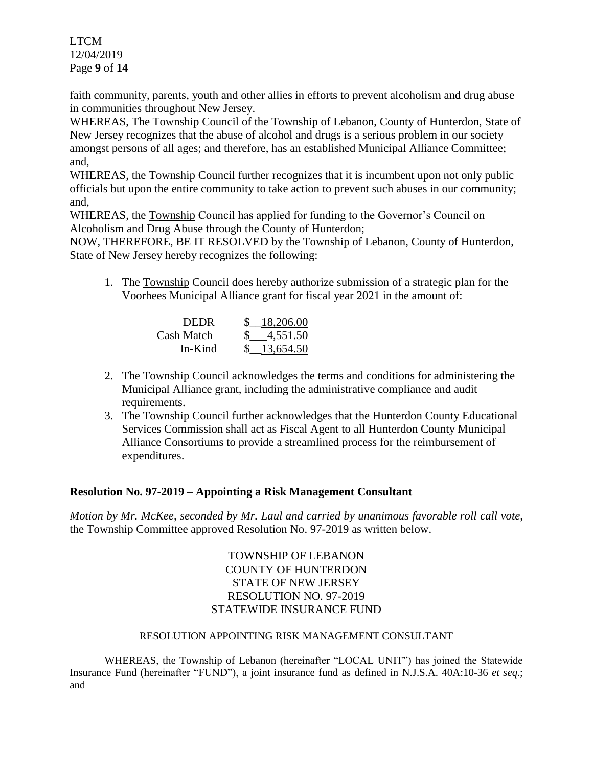LTCM 12/04/2019 Page **9** of **14**

faith community, parents, youth and other allies in efforts to prevent alcoholism and drug abuse in communities throughout New Jersey.

WHEREAS, The Township Council of the Township of Lebanon, County of Hunterdon, State of New Jersey recognizes that the abuse of alcohol and drugs is a serious problem in our society amongst persons of all ages; and therefore, has an established Municipal Alliance Committee; and,

WHEREAS, the Township Council further recognizes that it is incumbent upon not only public officials but upon the entire community to take action to prevent such abuses in our community; and,

WHEREAS, the Township Council has applied for funding to the Governor's Council on Alcoholism and Drug Abuse through the County of Hunterdon;

NOW, THEREFORE, BE IT RESOLVED by the Township of Lebanon, County of Hunterdon, State of New Jersey hereby recognizes the following:

1. The Township Council does hereby authorize submission of a strategic plan for the Voorhees Municipal Alliance grant for fiscal year 2021 in the amount of:

| <b>DEDR</b> | 18,206.00   |
|-------------|-------------|
| Cash Match  | 4,551.50    |
| $In-Kind$   | \$13,654.50 |

- 2. The Township Council acknowledges the terms and conditions for administering the Municipal Alliance grant, including the administrative compliance and audit requirements.
- 3. The Township Council further acknowledges that the Hunterdon County Educational Services Commission shall act as Fiscal Agent to all Hunterdon County Municipal Alliance Consortiums to provide a streamlined process for the reimbursement of expenditures.

# **Resolution No. 97-2019 – Appointing a Risk Management Consultant**

*Motion by Mr. McKee, seconded by Mr. Laul and carried by unanimous favorable roll call vote,* the Township Committee approved Resolution No. 97-2019 as written below.

> TOWNSHIP OF LEBANON COUNTY OF HUNTERDON STATE OF NEW JERSEY RESOLUTION NO. 97-2019 STATEWIDE INSURANCE FUND

## RESOLUTION APPOINTING RISK MANAGEMENT CONSULTANT

WHEREAS, the Township of Lebanon (hereinafter "LOCAL UNIT") has joined the Statewide Insurance Fund (hereinafter "FUND"), a joint insurance fund as defined in N.J.S.A. 40A:10-36 *et seq*.; and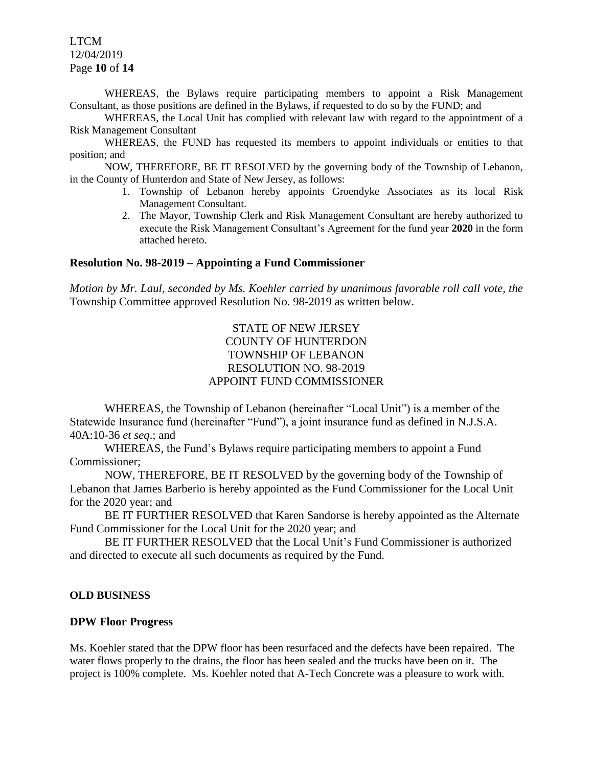LTCM 12/04/2019 Page **10** of **14**

WHEREAS, the Bylaws require participating members to appoint a Risk Management Consultant, as those positions are defined in the Bylaws, if requested to do so by the FUND; and

WHEREAS, the Local Unit has complied with relevant law with regard to the appointment of a Risk Management Consultant

WHEREAS, the FUND has requested its members to appoint individuals or entities to that position; and

NOW, THEREFORE, BE IT RESOLVED by the governing body of the Township of Lebanon, in the County of Hunterdon and State of New Jersey, as follows:

- 1. Township of Lebanon hereby appoints Groendyke Associates as its local Risk Management Consultant.
- 2. The Mayor, Township Clerk and Risk Management Consultant are hereby authorized to execute the Risk Management Consultant's Agreement for the fund year **2020** in the form attached hereto.

### **Resolution No. 98-2019 – Appointing a Fund Commissioner**

*Motion by Mr. Laul, seconded by Ms. Koehler carried by unanimous favorable roll call vote, the* Township Committee approved Resolution No. 98-2019 as written below.

## STATE OF NEW JERSEY COUNTY OF HUNTERDON TOWNSHIP OF LEBANON RESOLUTION NO. 98-2019 APPOINT FUND COMMISSIONER

WHEREAS, the Township of Lebanon (hereinafter "Local Unit") is a member of the Statewide Insurance fund (hereinafter "Fund"), a joint insurance fund as defined in N.J.S.A. 40A:10-36 *et seq*.; and

WHEREAS, the Fund's Bylaws require participating members to appoint a Fund Commissioner;

NOW, THEREFORE, BE IT RESOLVED by the governing body of the Township of Lebanon that James Barberio is hereby appointed as the Fund Commissioner for the Local Unit for the 2020 year; and

BE IT FURTHER RESOLVED that Karen Sandorse is hereby appointed as the Alternate Fund Commissioner for the Local Unit for the 2020 year; and

BE IT FURTHER RESOLVED that the Local Unit's Fund Commissioner is authorized and directed to execute all such documents as required by the Fund.

#### **OLD BUSINESS**

#### **DPW Floor Progress**

Ms. Koehler stated that the DPW floor has been resurfaced and the defects have been repaired. The water flows properly to the drains, the floor has been sealed and the trucks have been on it. The project is 100% complete. Ms. Koehler noted that A-Tech Concrete was a pleasure to work with.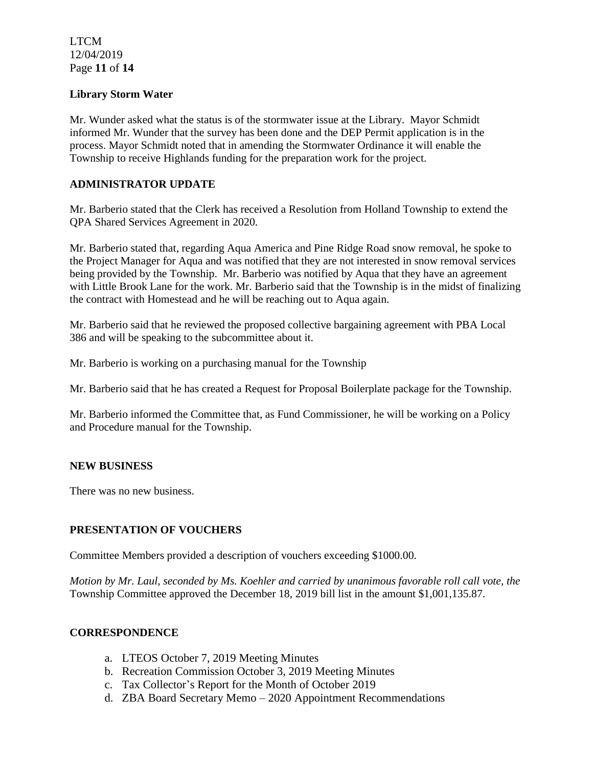LTCM 12/04/2019 Page **11** of **14**

### **Library Storm Water**

Mr. Wunder asked what the status is of the stormwater issue at the Library. Mayor Schmidt informed Mr. Wunder that the survey has been done and the DEP Permit application is in the process. Mayor Schmidt noted that in amending the Stormwater Ordinance it will enable the Township to receive Highlands funding for the preparation work for the project.

## **ADMINISTRATOR UPDATE**

Mr. Barberio stated that the Clerk has received a Resolution from Holland Township to extend the QPA Shared Services Agreement in 2020.

Mr. Barberio stated that, regarding Aqua America and Pine Ridge Road snow removal, he spoke to the Project Manager for Aqua and was notified that they are not interested in snow removal services being provided by the Township. Mr. Barberio was notified by Aqua that they have an agreement with Little Brook Lane for the work. Mr. Barberio said that the Township is in the midst of finalizing the contract with Homestead and he will be reaching out to Aqua again.

Mr. Barberio said that he reviewed the proposed collective bargaining agreement with PBA Local 386 and will be speaking to the subcommittee about it.

Mr. Barberio is working on a purchasing manual for the Township

Mr. Barberio said that he has created a Request for Proposal Boilerplate package for the Township.

Mr. Barberio informed the Committee that, as Fund Commissioner, he will be working on a Policy and Procedure manual for the Township.

#### **NEW BUSINESS**

There was no new business.

## **PRESENTATION OF VOUCHERS**

Committee Members provided a description of vouchers exceeding \$1000.00.

*Motion by Mr. Laul, seconded by Ms. Koehler and carried by unanimous favorable roll call vote, the* Township Committee approved the December 18, 2019 bill list in the amount \$1,001,135.87.

#### **CORRESPONDENCE**

- a. LTEOS October 7, 2019 Meeting Minutes
- b. Recreation Commission October 3, 2019 Meeting Minutes
- c. Tax Collector's Report for the Month of October 2019
- d. ZBA Board Secretary Memo 2020 Appointment Recommendations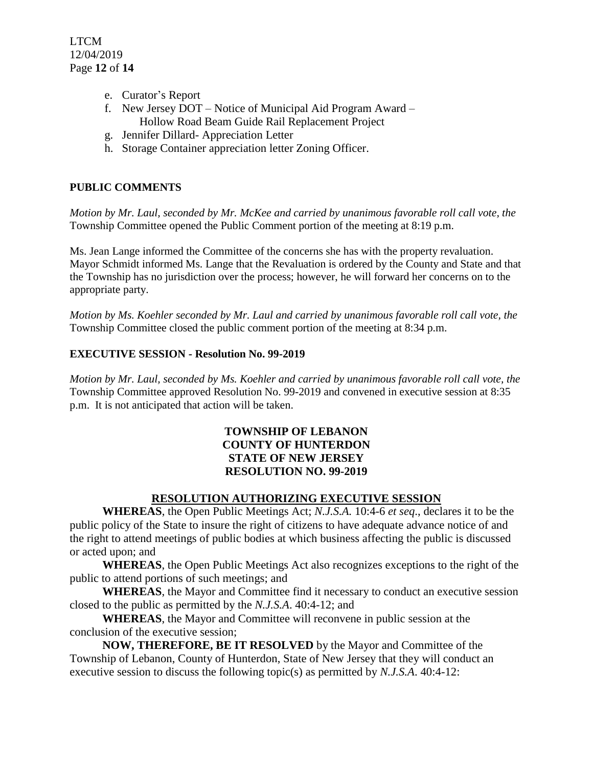- e. Curator's Report
- f. New Jersey DOT Notice of Municipal Aid Program Award Hollow Road Beam Guide Rail Replacement Project
- g. Jennifer Dillard- Appreciation Letter
- h. Storage Container appreciation letter Zoning Officer.

# **PUBLIC COMMENTS**

*Motion by Mr. Laul, seconded by Mr. McKee and carried by unanimous favorable roll call vote, the* Township Committee opened the Public Comment portion of the meeting at 8:19 p.m.

Ms. Jean Lange informed the Committee of the concerns she has with the property revaluation. Mayor Schmidt informed Ms. Lange that the Revaluation is ordered by the County and State and that the Township has no jurisdiction over the process; however, he will forward her concerns on to the appropriate party.

*Motion by Ms. Koehler seconded by Mr. Laul and carried by unanimous favorable roll call vote, the* Township Committee closed the public comment portion of the meeting at 8:34 p.m.

## **EXECUTIVE SESSION - Resolution No. 99-2019**

*Motion by Mr. Laul, seconded by Ms. Koehler and carried by unanimous favorable roll call vote, the* Township Committee approved Resolution No. 99-2019 and convened in executive session at 8:35 p.m. It is not anticipated that action will be taken.

# **TOWNSHIP OF LEBANON COUNTY OF HUNTERDON STATE OF NEW JERSEY RESOLUTION NO. 99-2019**

# **RESOLUTION AUTHORIZING EXECUTIVE SESSION**

**WHEREAS**, the Open Public Meetings Act; *N.J.S.A.* 10:4-6 *et seq*., declares it to be the public policy of the State to insure the right of citizens to have adequate advance notice of and the right to attend meetings of public bodies at which business affecting the public is discussed or acted upon; and

**WHEREAS**, the Open Public Meetings Act also recognizes exceptions to the right of the public to attend portions of such meetings; and

**WHEREAS**, the Mayor and Committee find it necessary to conduct an executive session closed to the public as permitted by the *N.J.S.A*. 40:4-12; and

**WHEREAS**, the Mayor and Committee will reconvene in public session at the conclusion of the executive session;

**NOW, THEREFORE, BE IT RESOLVED** by the Mayor and Committee of the Township of Lebanon, County of Hunterdon, State of New Jersey that they will conduct an executive session to discuss the following topic(s) as permitted by *N.J.S.A*. 40:4-12: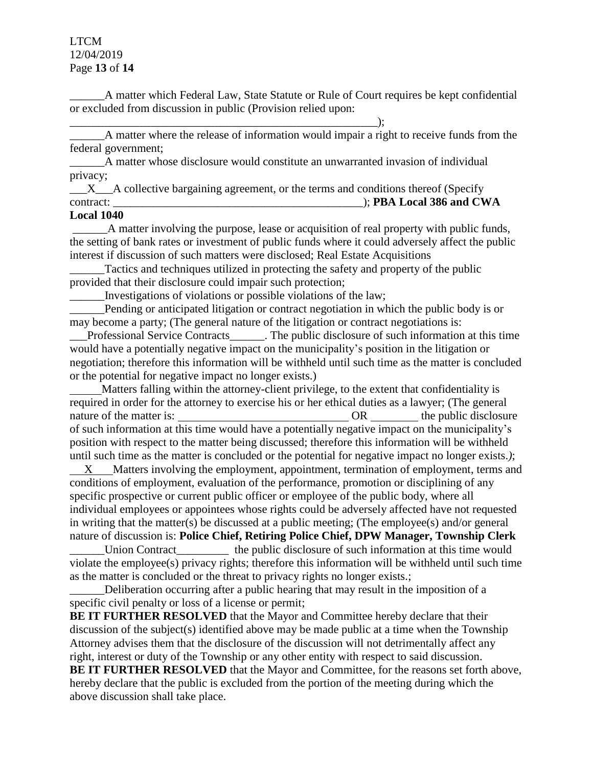### LTCM 12/04/2019 Page **13** of **14**

\_\_\_\_\_\_A matter which Federal Law, State Statute or Rule of Court requires be kept confidential or excluded from discussion in public (Provision relied upon:

\_\_\_\_\_\_A matter where the release of information would impair a right to receive funds from the federal government;

\_\_\_\_\_\_A matter whose disclosure would constitute an unwarranted invasion of individual privacy;

 $\_\_\_X\_\_A$  collective bargaining agreement, or the terms and conditions thereof (Specify contract: \_\_\_\_\_\_\_\_\_\_\_\_\_\_\_\_\_\_\_\_\_\_\_\_\_\_\_\_\_\_\_\_\_\_\_\_\_\_\_\_\_\_\_); **PBA Local 386 and CWA** 

#### **Local 1040**

A matter involving the purpose, lease or acquisition of real property with public funds, the setting of bank rates or investment of public funds where it could adversely affect the public interest if discussion of such matters were disclosed; Real Estate Acquisitions

Tactics and techniques utilized in protecting the safety and property of the public provided that their disclosure could impair such protection;

\_\_\_\_\_\_Investigations of violations or possible violations of the law;

 $\qquad \qquad ; \qquad$ 

Pending or anticipated litigation or contract negotiation in which the public body is or may become a party; (The general nature of the litigation or contract negotiations is:

\_\_\_Professional Service Contracts\_\_\_\_\_\_. The public disclosure of such information at this time would have a potentially negative impact on the municipality's position in the litigation or negotiation; therefore this information will be withheld until such time as the matter is concluded or the potential for negative impact no longer exists.)

 Matters falling within the attorney-client privilege, to the extent that confidentiality is required in order for the attorney to exercise his or her ethical duties as a lawyer; (The general nature of the matter is:  $OR$  the public disclosure of such information at this time would have a potentially negative impact on the municipality's position with respect to the matter being discussed; therefore this information will be withheld until such time as the matter is concluded or the potential for negative impact no longer exists.*)*; X Matters involving the employment, appointment, termination of employment, terms and conditions of employment, evaluation of the performance, promotion or disciplining of any specific prospective or current public officer or employee of the public body, where all

individual employees or appointees whose rights could be adversely affected have not requested in writing that the matter(s) be discussed at a public meeting; (The employee(s) and/or general nature of discussion is: **Police Chief, Retiring Police Chief, DPW Manager, Township Clerk** \_\_\_\_\_\_Union Contract\_\_\_\_\_\_\_\_\_ the public disclosure of such information at this time would violate the employee(s) privacy rights; therefore this information will be withheld until such time as the matter is concluded or the threat to privacy rights no longer exists.;

Deliberation occurring after a public hearing that may result in the imposition of a specific civil penalty or loss of a license or permit;

**BE IT FURTHER RESOLVED** that the Mayor and Committee hereby declare that their discussion of the subject(s) identified above may be made public at a time when the Township Attorney advises them that the disclosure of the discussion will not detrimentally affect any right, interest or duty of the Township or any other entity with respect to said discussion. **BE IT FURTHER RESOLVED** that the Mayor and Committee, for the reasons set forth above, hereby declare that the public is excluded from the portion of the meeting during which the above discussion shall take place.